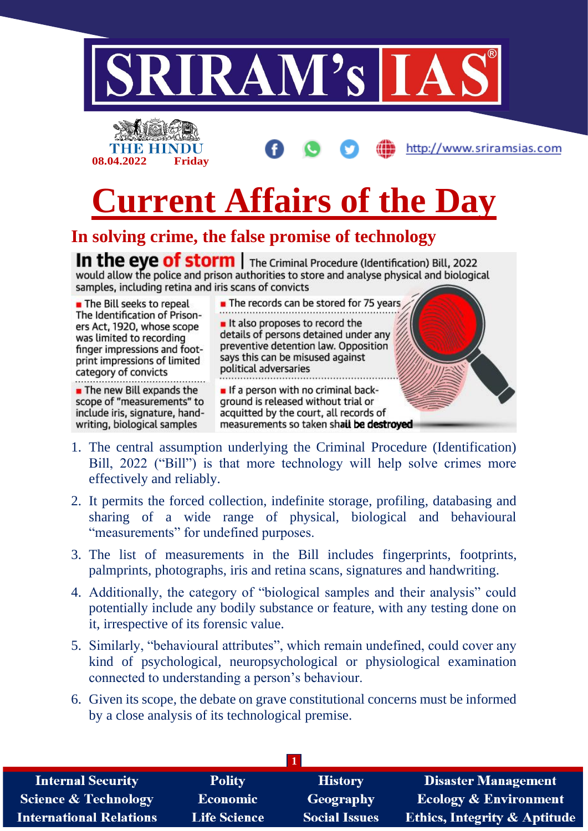

 $\blacksquare$  The new Bill expands the scope of "measurements" to include iris, signature, handwriting, biological samples

**If a person with no criminal back**ground is released without trial or acquitted by the court, all records of measurements so taken shail be destroyed

- 1. The central assumption underlying the Criminal Procedure (Identification) Bill, 2022 ("Bill") is that more technology will help solve crimes more effectively and reliably.
- 2. It permits the forced collection, indefinite storage, profiling, databasing and sharing of a wide range of physical, biological and behavioural "measurements" for undefined purposes.
- 3. The list of measurements in the Bill includes fingerprints, footprints, palmprints, photographs, iris and retina scans, signatures and handwriting.
- 4. Additionally, the category of "biological samples and their analysis" could potentially include any bodily substance or feature, with any testing done on it, irrespective of its forensic value.
- 5. Similarly, "behavioural attributes", which remain undefined, could cover any kind of psychological, neuropsychological or physiological examination connected to understanding a person's behaviour.
- 6. Given its scope, the debate on grave constitutional concerns must be informed by a close analysis of its technological premise.

| <b>Internal Security</b>        | <b>Polity</b>       | <b>History</b>       | <b>Disaster Management</b>              |
|---------------------------------|---------------------|----------------------|-----------------------------------------|
| <b>Science &amp; Technology</b> | <b>Economic</b>     | Geography            | <b>Ecology &amp; Environment</b>        |
| <b>International Relations</b>  | <b>Life Science</b> | <b>Social Issues</b> | <b>Ethics, Integrity &amp; Aptitude</b> |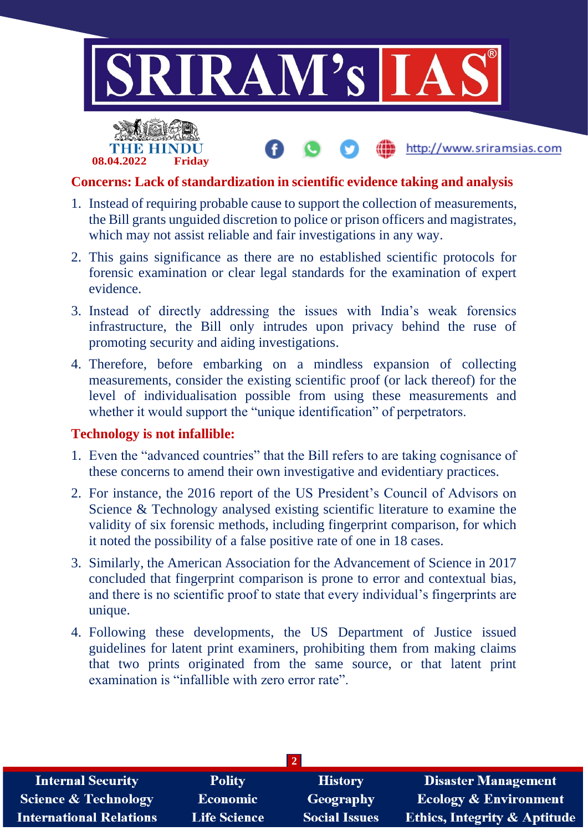

http://www.sriramsias.com



## **Concerns: Lack of standardization in scientific evidence taking and analysis**

- 1. Instead of requiring probable cause to support the collection of measurements, the Bill grants unguided discretion to police or prison officers and magistrates, which may not assist reliable and fair investigations in any way.
- 2. This gains significance as there are no established scientific protocols for forensic examination or clear legal standards for the examination of expert evidence.
- 3. Instead of directly addressing the issues with India's weak forensics infrastructure, the Bill only intrudes upon privacy behind the ruse of promoting security and aiding investigations.
- 4. Therefore, before embarking on a mindless expansion of collecting measurements, consider the existing scientific proof (or lack thereof) for the level of individualisation possible from using these measurements and whether it would support the "unique identification" of perpetrators.

## **Technology is not infallible:**

- 1. Even the "advanced countries" that the Bill refers to are taking cognisance of these concerns to amend their own investigative and evidentiary practices.
- 2. For instance, the 2016 report of the US President's Council of Advisors on Science & Technology analysed existing scientific literature to examine the validity of six forensic methods, including fingerprint comparison, for which it noted the possibility of a false positive rate of one in 18 cases.
- 3. Similarly, the American Association for the Advancement of Science in 2017 concluded that fingerprint comparison is prone to error and contextual bias, and there is no scientific proof to state that every individual's fingerprints are unique.
- 4. Following these developments, the US Department of Justice issued guidelines for latent print examiners, prohibiting them from making claims that two prints originated from the same source, or that latent print examination is "infallible with zero error rate".

| <b>Internal Security</b>        | <b>Polity</b>       | <b>History</b>       | <b>Disaster Management</b>              |  |  |
|---------------------------------|---------------------|----------------------|-----------------------------------------|--|--|
| <b>Science &amp; Technology</b> | <b>Economic</b>     | <b>Geography</b>     | <b>Ecology &amp; Environment</b>        |  |  |
| <b>International Relations</b>  | <b>Life Science</b> | <b>Social Issues</b> | <b>Ethics, Integrity &amp; Aptitude</b> |  |  |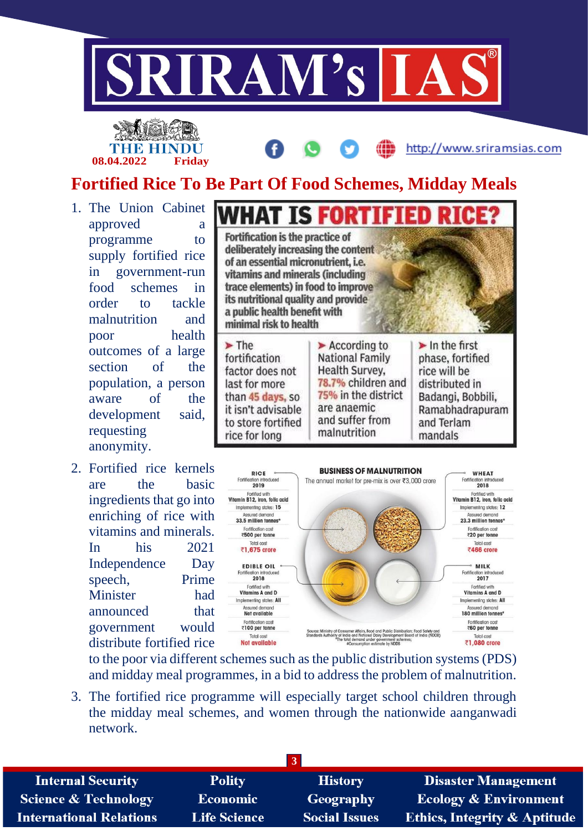

**08.04.2022 Friday**

http://www.sriramsias.com

## **Fortified Rice To Be Part Of Food Schemes, Midday Meals**

- 1. The Union Cabinet approved a programme to supply fortified rice in government-run food schemes in order to tackle malnutrition and poor health outcomes of a large section of the population, a person aware of the development said, requesting anonymity.
- 2. Fortified rice kernels are the basic ingredients that go into enriching of rice with vitamins and minerals. In his 2021 Independence Day speech, Prime Minister had announced that government would distribute fortified rice





to the poor via different schemes such as the public distribution systems (PDS) and midday meal programmes, in a bid to address the problem of malnutrition.

3. The fortified rice programme will especially target school children through the midday meal schemes, and women through the nationwide aanganwadi network.

| <b>Internal Security</b>        | <b>Polity</b>       | <b>History</b>       | <b>Disaster Management</b>              |  |  |
|---------------------------------|---------------------|----------------------|-----------------------------------------|--|--|
| <b>Science &amp; Technology</b> | <b>Economic</b>     | Geography            | <b>Ecology &amp; Environment</b>        |  |  |
| International Relations         | <b>Life Science</b> | <b>Social Issues</b> | <b>Ethics, Integrity &amp; Aptitude</b> |  |  |
|                                 |                     |                      |                                         |  |  |